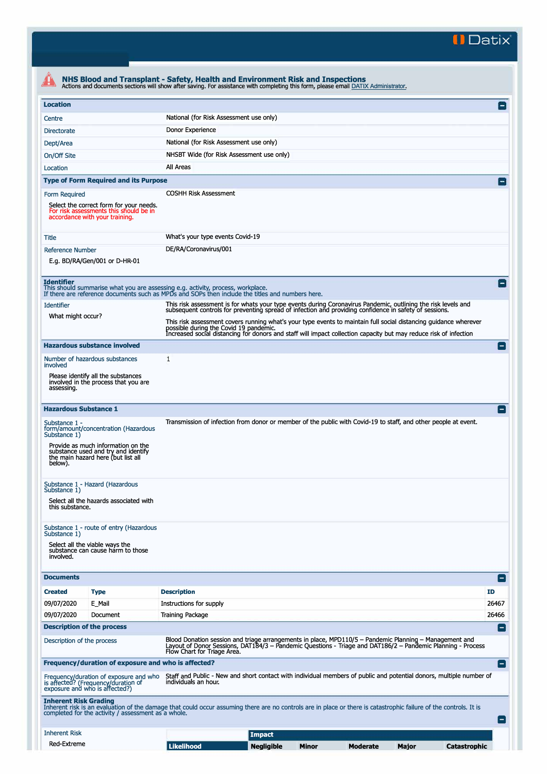**II Datix"** 

| <b>Location</b>                                                                                                                             |                                                                                                                                                                        | National (for Risk Assessment use only)                                                                                                                                                                                 | E                           |
|---------------------------------------------------------------------------------------------------------------------------------------------|------------------------------------------------------------------------------------------------------------------------------------------------------------------------|-------------------------------------------------------------------------------------------------------------------------------------------------------------------------------------------------------------------------|-----------------------------|
| Centre                                                                                                                                      |                                                                                                                                                                        | Donor Experience                                                                                                                                                                                                        |                             |
| <b>Directorate</b>                                                                                                                          |                                                                                                                                                                        |                                                                                                                                                                                                                         |                             |
| Dept/Area                                                                                                                                   |                                                                                                                                                                        | National (for Risk Assessment use only)                                                                                                                                                                                 |                             |
| On/Off Site                                                                                                                                 |                                                                                                                                                                        | NHSBT Wide (for Risk Assessment use only)<br>All Areas                                                                                                                                                                  |                             |
| Location                                                                                                                                    |                                                                                                                                                                        |                                                                                                                                                                                                                         |                             |
|                                                                                                                                             | <b>Type of Form Required and its Purpose</b>                                                                                                                           |                                                                                                                                                                                                                         |                             |
| <b>Form Required</b><br>Select the correct form for your needs.<br>For risk assessments this should be in<br>accordance with your training. |                                                                                                                                                                        | <b>COSHH Risk Assessment</b>                                                                                                                                                                                            |                             |
| Title                                                                                                                                       |                                                                                                                                                                        | What's your type events Covid-19                                                                                                                                                                                        |                             |
| <b>Reference Number</b>                                                                                                                     |                                                                                                                                                                        | DE/RA/Coronavirus/001                                                                                                                                                                                                   |                             |
| E.g. BD/RA/Gen/001 or D-HR-01                                                                                                               |                                                                                                                                                                        |                                                                                                                                                                                                                         |                             |
| <b>Identifier</b>                                                                                                                           |                                                                                                                                                                        | This should summarise what you are assessing e.g. activity, process, workplace.<br>If there are reference documents such as MPDs and SOPs then include the titles and numbers here.                                     |                             |
| <b>Identifier</b>                                                                                                                           |                                                                                                                                                                        | This risk assessment is for whats your type events during Coronavirus Pandemic, outlining the risk levels and<br>subsequent controls for preventing spread of infection and providing confidence in safety of sessions. |                             |
| What might occur?                                                                                                                           |                                                                                                                                                                        | This risk assessment covers running what's your type events to maintain full social distancing quidance wherever<br>possible during the Covid 19 pandemic.                                                              |                             |
|                                                                                                                                             |                                                                                                                                                                        | Increased social distancing for donors and staff will impact collection capacity but may reduce risk of infection                                                                                                       |                             |
|                                                                                                                                             | <b>Hazardous substance involved</b>                                                                                                                                    |                                                                                                                                                                                                                         |                             |
| involved                                                                                                                                    | Number of hazardous substances                                                                                                                                         | 1                                                                                                                                                                                                                       |                             |
|                                                                                                                                             | Please identify all the substances<br>involved in the process that you are                                                                                             |                                                                                                                                                                                                                         |                             |
| assessing.                                                                                                                                  |                                                                                                                                                                        |                                                                                                                                                                                                                         |                             |
|                                                                                                                                             |                                                                                                                                                                        |                                                                                                                                                                                                                         |                             |
|                                                                                                                                             |                                                                                                                                                                        | Transmission of infection from donor or member of the public with Covid-19 to staff, and other people at event.                                                                                                         |                             |
| <b>Hazardous Substance 1</b><br>Substance 1 -<br>Substance 1)                                                                               | form/amount/concentration (Hazardous                                                                                                                                   |                                                                                                                                                                                                                         |                             |
| below).                                                                                                                                     | Provide as much information on the<br>substance used and try and identify<br>the main hazard here (but list all                                                        |                                                                                                                                                                                                                         |                             |
| Substance 1)                                                                                                                                | Substance 1 - Hazard (Hazardous                                                                                                                                        |                                                                                                                                                                                                                         |                             |
| this substance.                                                                                                                             | Select all the hazards associated with                                                                                                                                 |                                                                                                                                                                                                                         |                             |
|                                                                                                                                             | Substance 1 - route of entry (Hazardous                                                                                                                                |                                                                                                                                                                                                                         |                             |
| involved.                                                                                                                                   | Select all the viable ways the<br>substance can cause harm to those                                                                                                    |                                                                                                                                                                                                                         |                             |
|                                                                                                                                             |                                                                                                                                                                        |                                                                                                                                                                                                                         |                             |
|                                                                                                                                             |                                                                                                                                                                        |                                                                                                                                                                                                                         |                             |
|                                                                                                                                             | <b>Type</b>                                                                                                                                                            | <b>Description</b>                                                                                                                                                                                                      | $\blacksquare$<br><b>ID</b> |
|                                                                                                                                             | E_Mail                                                                                                                                                                 | Instructions for supply                                                                                                                                                                                                 | 26467                       |
|                                                                                                                                             | Document                                                                                                                                                               | <b>Training Package</b>                                                                                                                                                                                                 | 26466                       |
|                                                                                                                                             | <b>Description of the process</b>                                                                                                                                      | Blood Donation session and triage arrangements in place, MPD110/5 - Pandemic Planning - Management and<br>Layout of Donor Sessions, DAT184/3 – Pandemic Questions - Triage and DAT186/2 – Pandemic Planning - Process   |                             |
|                                                                                                                                             |                                                                                                                                                                        | Flow Chart for Triage Area.                                                                                                                                                                                             | $\blacksquare$              |
| Substance 1)<br><b>Documents</b><br><b>Created</b><br>09/07/2020<br>09/07/2020<br>Description of the process                                | Frequency/duration of exposure and who is affected?<br>Frequency/duration of exposure and who<br>is affected? (Frequency/duration of<br>exposure and who is affected?) | Staff and Public - New and short contact with individual members of public and potential donors, multiple number of<br>individuals an hour.                                                                             |                             |
|                                                                                                                                             | completed for the activity / assessment as a whole.                                                                                                                    | Inherent risk is an evaluation of the damage that could occur assuming there are no controls are in place or there is catastrophic failure of the controls. It is                                                       |                             |
| <b>Inherent Risk Grading</b><br><b>Inherent Risk</b>                                                                                        |                                                                                                                                                                        | <b>Impact</b>                                                                                                                                                                                                           | $\left[ -\right]$           |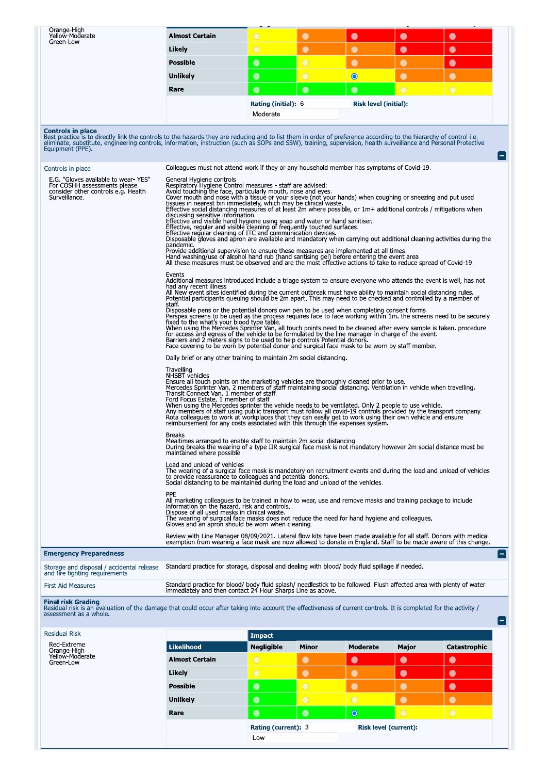| Orange-High<br>Yellow-Moderate<br>Green-Low                                                                                                                                                                                                                                                                                                                                                          | <b>Almost Certain</b>                                                                                                                                                                                                                                                                                                                                                                                                                                                                                                                                                                                                                                                                                                                                                                                                                                                                                                                                                                                                                                                                                                                                                                                                                                                                                                                                                                                                                                                                                                                                                                                                                                                                                                                                                                                                                                                                                                                                                                                                                                             | $\bigcirc$        | $\bullet$      | $\bullet$       | $\bullet$  | $\bullet$      |  |  |  |
|------------------------------------------------------------------------------------------------------------------------------------------------------------------------------------------------------------------------------------------------------------------------------------------------------------------------------------------------------------------------------------------------------|-------------------------------------------------------------------------------------------------------------------------------------------------------------------------------------------------------------------------------------------------------------------------------------------------------------------------------------------------------------------------------------------------------------------------------------------------------------------------------------------------------------------------------------------------------------------------------------------------------------------------------------------------------------------------------------------------------------------------------------------------------------------------------------------------------------------------------------------------------------------------------------------------------------------------------------------------------------------------------------------------------------------------------------------------------------------------------------------------------------------------------------------------------------------------------------------------------------------------------------------------------------------------------------------------------------------------------------------------------------------------------------------------------------------------------------------------------------------------------------------------------------------------------------------------------------------------------------------------------------------------------------------------------------------------------------------------------------------------------------------------------------------------------------------------------------------------------------------------------------------------------------------------------------------------------------------------------------------------------------------------------------------------------------------------------------------|-------------------|----------------|-----------------|------------|----------------|--|--|--|
|                                                                                                                                                                                                                                                                                                                                                                                                      | Likely                                                                                                                                                                                                                                                                                                                                                                                                                                                                                                                                                                                                                                                                                                                                                                                                                                                                                                                                                                                                                                                                                                                                                                                                                                                                                                                                                                                                                                                                                                                                                                                                                                                                                                                                                                                                                                                                                                                                                                                                                                                            | $\bigcirc$        | $\bullet$      | $\bullet$       | $\bullet$  | $\bullet$      |  |  |  |
|                                                                                                                                                                                                                                                                                                                                                                                                      | <b>Possible</b>                                                                                                                                                                                                                                                                                                                                                                                                                                                                                                                                                                                                                                                                                                                                                                                                                                                                                                                                                                                                                                                                                                                                                                                                                                                                                                                                                                                                                                                                                                                                                                                                                                                                                                                                                                                                                                                                                                                                                                                                                                                   | $\bullet$         | $\overline{O}$ | $\bullet$       | $\bullet$  | $\bullet$      |  |  |  |
|                                                                                                                                                                                                                                                                                                                                                                                                      | Unlikely                                                                                                                                                                                                                                                                                                                                                                                                                                                                                                                                                                                                                                                                                                                                                                                                                                                                                                                                                                                                                                                                                                                                                                                                                                                                                                                                                                                                                                                                                                                                                                                                                                                                                                                                                                                                                                                                                                                                                                                                                                                          | $\bullet$         | $\bigcirc$     | $\bullet$       | $\bullet$  | $\bullet$      |  |  |  |
|                                                                                                                                                                                                                                                                                                                                                                                                      | Rare                                                                                                                                                                                                                                                                                                                                                                                                                                                                                                                                                                                                                                                                                                                                                                                                                                                                                                                                                                                                                                                                                                                                                                                                                                                                                                                                                                                                                                                                                                                                                                                                                                                                                                                                                                                                                                                                                                                                                                                                                                                              | $\bullet$         | $\bullet$      | $\bullet$       | $\bigcirc$ | $\bigcirc$     |  |  |  |
|                                                                                                                                                                                                                                                                                                                                                                                                      | <b>Rating (initial): 6</b><br>Risk level (initial):<br>Moderate                                                                                                                                                                                                                                                                                                                                                                                                                                                                                                                                                                                                                                                                                                                                                                                                                                                                                                                                                                                                                                                                                                                                                                                                                                                                                                                                                                                                                                                                                                                                                                                                                                                                                                                                                                                                                                                                                                                                                                                                   |                   |                |                 |            |                |  |  |  |
| Controls in place<br>Best practice is to directly link the controls to the hazards they are reducing and to list them in order of preference according to the hierarchy of control i.e.<br>eliminate, substitute, engineering controls, information, instruction (such as SOPs and SSW), training, supervision, health surveillance and Personal Protective<br>Equipment (PPE).<br>Controls in place | Colleagues must not attend work if they or any household member has symptoms of Covid-19.                                                                                                                                                                                                                                                                                                                                                                                                                                                                                                                                                                                                                                                                                                                                                                                                                                                                                                                                                                                                                                                                                                                                                                                                                                                                                                                                                                                                                                                                                                                                                                                                                                                                                                                                                                                                                                                                                                                                                                         |                   |                |                 |            | $ - $          |  |  |  |
| E.G. "Gloves available to wear-YES"<br>For COSHH assessments please<br>consider other controls e.g. Health<br>Surveillance.                                                                                                                                                                                                                                                                          | General Hygiene controls<br>Respiratory Hygiene Control measures - staff are advised:<br>Avoid touching the face, particularly mouth, nose and eyes.<br>Cover mouth and nose with a tissue or your sleeve (not your hands) when coughing or sneezing and put used<br>tissues in nearest bin immediately, which may be clinical waste.<br>Effective social distancing measures of at least 2m where possible, or 1m+ additional controls / mitigations when<br>discussing sensitive information.<br>Effective and visible hand hygiene using soap and water or hand sanitiser.<br>Effective, regular and visible cleaning of frequently touched surfaces.<br>Effective regular cleaning of ITC and communication devices.<br>Disposable gloves and apron are available and mandatory when carrying out additional cleaning activities during the<br>pandemic.<br>Provide additional supervision to ensure these measures are implemented at all times.<br>Hand washing/use of alcohol hand rub (hand santising gel) before entering the event area<br>All these measures must be observed and are the most effective actions to take to reduce spread of Covid-19.<br>Events<br>Additional measures introduced include a triage system to ensure everyone who attends the event is well, has not<br>had any recent illness<br>All New event sites identified during the current outbreak must have ability to maintain social distancing rules.<br>Potential participants queuing should be 2m apart. This may need to be checked and controlled by a member of<br>staff<br>Disposable pens or the potential donors own pen to be used when completing consent forms.<br>Perspex screens to be used as the process requires face to face working within 1m, the screens need to be securely<br>fixed to the what's your blood type table.<br>When using the Mercedes Sprinter Van, all touch points need to be cleaned after every sample is taken, procedure<br>for access and egress of the vehicle to be formulated by the line manager in charge of the event. |                   |                |                 |            |                |  |  |  |
|                                                                                                                                                                                                                                                                                                                                                                                                      | Barriers and 2 meters signs to be used to help controls Potential donors.<br>Face covering to be worn by potential donor and surgical face mask to be worn by staff member.<br>Daily brief or any other training to maintain 2m social distancing.<br>Travelling<br>NHSBT vehicles<br>Ensure all touch points on the marketing vehicles are thoroughly cleaned prior to use.                                                                                                                                                                                                                                                                                                                                                                                                                                                                                                                                                                                                                                                                                                                                                                                                                                                                                                                                                                                                                                                                                                                                                                                                                                                                                                                                                                                                                                                                                                                                                                                                                                                                                      |                   |                |                 |            |                |  |  |  |
|                                                                                                                                                                                                                                                                                                                                                                                                      | Mercedes Sprinter Van, 2 members of staff maintaining social distancing. Ventilation in vehicle when travelling<br>Transit Connect Van, 1 member of staff.<br>Ford Focus Estate, 1 member of staff.<br>When using the Mercedes sprinter the vehicle needs to be ventilated. Only 2 people to use vehicle.<br>Any members of staff using public transport must follow all covid-19 controls provided by the transport company<br>Rota colleagues to work at workplaces that they can easily get to work using their own vehicle and ensure<br>reimbursement for any costs associated with this through the expenses system.                                                                                                                                                                                                                                                                                                                                                                                                                                                                                                                                                                                                                                                                                                                                                                                                                                                                                                                                                                                                                                                                                                                                                                                                                                                                                                                                                                                                                                        |                   |                |                 |            |                |  |  |  |
|                                                                                                                                                                                                                                                                                                                                                                                                      | <b>Breaks</b><br>Mealtimes arranged to enable staff to maintain 2m social distancing.<br>During breaks the wearing of a type IIR surgical face mask is not mandatory however 2m social distance must be<br>maintained where possible                                                                                                                                                                                                                                                                                                                                                                                                                                                                                                                                                                                                                                                                                                                                                                                                                                                                                                                                                                                                                                                                                                                                                                                                                                                                                                                                                                                                                                                                                                                                                                                                                                                                                                                                                                                                                              |                   |                |                 |            |                |  |  |  |
|                                                                                                                                                                                                                                                                                                                                                                                                      | Load and unload of vehicles<br>The wearing of a surgical face mask is mandatory on recruitment events and during the load and unload of vehicles<br>to provide reassurance to colleagues and potential donors.<br>Social distancing to be maintained during the load and unload of the vehicles.                                                                                                                                                                                                                                                                                                                                                                                                                                                                                                                                                                                                                                                                                                                                                                                                                                                                                                                                                                                                                                                                                                                                                                                                                                                                                                                                                                                                                                                                                                                                                                                                                                                                                                                                                                  |                   |                |                 |            |                |  |  |  |
|                                                                                                                                                                                                                                                                                                                                                                                                      | <b>PPE</b><br>All marketing colleagues to be trained in how to wear, use and remove masks and training package to include<br>information on the hazard, risk and controls.<br>Dispose of all used masks in clinical waste.<br>The wearing of surgical face masks does not reduce the need for hand hygiene and colleagues.<br>Gloves and an apron should be worn when cleaning.                                                                                                                                                                                                                                                                                                                                                                                                                                                                                                                                                                                                                                                                                                                                                                                                                                                                                                                                                                                                                                                                                                                                                                                                                                                                                                                                                                                                                                                                                                                                                                                                                                                                                   |                   |                |                 |            |                |  |  |  |
|                                                                                                                                                                                                                                                                                                                                                                                                      | Review with Line Manager 08/09/2021, Lateral flow kits have been made available for all staff. Donors with medical<br>exemption from wearing a face mask are now allowed to donate in England. Staff to be made aware of this change.                                                                                                                                                                                                                                                                                                                                                                                                                                                                                                                                                                                                                                                                                                                                                                                                                                                                                                                                                                                                                                                                                                                                                                                                                                                                                                                                                                                                                                                                                                                                                                                                                                                                                                                                                                                                                             |                   |                |                 |            |                |  |  |  |
| <b>Emergency Preparedness</b>                                                                                                                                                                                                                                                                                                                                                                        |                                                                                                                                                                                                                                                                                                                                                                                                                                                                                                                                                                                                                                                                                                                                                                                                                                                                                                                                                                                                                                                                                                                                                                                                                                                                                                                                                                                                                                                                                                                                                                                                                                                                                                                                                                                                                                                                                                                                                                                                                                                                   |                   |                |                 |            | $ - $          |  |  |  |
| Storage and disposal / accidental release<br>and fire fighting requirements                                                                                                                                                                                                                                                                                                                          | Standard practice for storage, disposal and dealing with blood/ body fluid spillage if needed.                                                                                                                                                                                                                                                                                                                                                                                                                                                                                                                                                                                                                                                                                                                                                                                                                                                                                                                                                                                                                                                                                                                                                                                                                                                                                                                                                                                                                                                                                                                                                                                                                                                                                                                                                                                                                                                                                                                                                                    |                   |                |                 |            |                |  |  |  |
| <b>First Aid Measures</b>                                                                                                                                                                                                                                                                                                                                                                            | Standard practice for blood/ body fluid splash/ needlestick to be followed. Flush affected area with plenty of water<br>immediately and then contact 24 Hour Sharps Line as above.                                                                                                                                                                                                                                                                                                                                                                                                                                                                                                                                                                                                                                                                                                                                                                                                                                                                                                                                                                                                                                                                                                                                                                                                                                                                                                                                                                                                                                                                                                                                                                                                                                                                                                                                                                                                                                                                                |                   |                |                 |            |                |  |  |  |
| <b>Final risk Grading</b><br>Residual risk is an evaluation of the damage that could occur after taking into account the effectiveness of current controls. It is completed for the activity /<br>assessment as a whole.                                                                                                                                                                             |                                                                                                                                                                                                                                                                                                                                                                                                                                                                                                                                                                                                                                                                                                                                                                                                                                                                                                                                                                                                                                                                                                                                                                                                                                                                                                                                                                                                                                                                                                                                                                                                                                                                                                                                                                                                                                                                                                                                                                                                                                                                   |                   |                |                 |            | $\blacksquare$ |  |  |  |
| Residual Risk                                                                                                                                                                                                                                                                                                                                                                                        |                                                                                                                                                                                                                                                                                                                                                                                                                                                                                                                                                                                                                                                                                                                                                                                                                                                                                                                                                                                                                                                                                                                                                                                                                                                                                                                                                                                                                                                                                                                                                                                                                                                                                                                                                                                                                                                                                                                                                                                                                                                                   | <b>Impact</b>     |                |                 |            |                |  |  |  |
| Red-Extreme                                                                                                                                                                                                                                                                                                                                                                                          | <b>Likelihood</b>                                                                                                                                                                                                                                                                                                                                                                                                                                                                                                                                                                                                                                                                                                                                                                                                                                                                                                                                                                                                                                                                                                                                                                                                                                                                                                                                                                                                                                                                                                                                                                                                                                                                                                                                                                                                                                                                                                                                                                                                                                                 | <b>Negligible</b> | Minor          | <b>Moderate</b> | Major      | Catastrophic   |  |  |  |
| Orange-High<br>Yellow-Moderate<br>Green-Low                                                                                                                                                                                                                                                                                                                                                          | <b>Almost Certain</b>                                                                                                                                                                                                                                                                                                                                                                                                                                                                                                                                                                                                                                                                                                                                                                                                                                                                                                                                                                                                                                                                                                                                                                                                                                                                                                                                                                                                                                                                                                                                                                                                                                                                                                                                                                                                                                                                                                                                                                                                                                             | $\circ$           | $\bullet$      | $\bullet$       | $\bullet$  | $\bullet$      |  |  |  |
|                                                                                                                                                                                                                                                                                                                                                                                                      | Likely                                                                                                                                                                                                                                                                                                                                                                                                                                                                                                                                                                                                                                                                                                                                                                                                                                                                                                                                                                                                                                                                                                                                                                                                                                                                                                                                                                                                                                                                                                                                                                                                                                                                                                                                                                                                                                                                                                                                                                                                                                                            | $\overline{O}$    | $\bullet$      | $\bullet$       | $\bullet$  | $\bullet$      |  |  |  |
|                                                                                                                                                                                                                                                                                                                                                                                                      | <b>Possible</b>                                                                                                                                                                                                                                                                                                                                                                                                                                                                                                                                                                                                                                                                                                                                                                                                                                                                                                                                                                                                                                                                                                                                                                                                                                                                                                                                                                                                                                                                                                                                                                                                                                                                                                                                                                                                                                                                                                                                                                                                                                                   | $\bullet$         | $\overline{O}$ | $\bullet$       | $\bullet$  | $\bullet$      |  |  |  |
|                                                                                                                                                                                                                                                                                                                                                                                                      |                                                                                                                                                                                                                                                                                                                                                                                                                                                                                                                                                                                                                                                                                                                                                                                                                                                                                                                                                                                                                                                                                                                                                                                                                                                                                                                                                                                                                                                                                                                                                                                                                                                                                                                                                                                                                                                                                                                                                                                                                                                                   |                   |                |                 |            |                |  |  |  |
|                                                                                                                                                                                                                                                                                                                                                                                                      | <b>Unlikely</b>                                                                                                                                                                                                                                                                                                                                                                                                                                                                                                                                                                                                                                                                                                                                                                                                                                                                                                                                                                                                                                                                                                                                                                                                                                                                                                                                                                                                                                                                                                                                                                                                                                                                                                                                                                                                                                                                                                                                                                                                                                                   | $\bullet$         | $\bigcirc$     | $\bigcirc$      | $\bullet$  | $\bullet$      |  |  |  |
|                                                                                                                                                                                                                                                                                                                                                                                                      | Rare                                                                                                                                                                                                                                                                                                                                                                                                                                                                                                                                                                                                                                                                                                                                                                                                                                                                                                                                                                                                                                                                                                                                                                                                                                                                                                                                                                                                                                                                                                                                                                                                                                                                                                                                                                                                                                                                                                                                                                                                                                                              | $\bullet$         | $\bullet$      | $\circ$         | $\bigcirc$ | $\bigcirc$     |  |  |  |
|                                                                                                                                                                                                                                                                                                                                                                                                      | Rating (current): 3<br><b>Risk level (current):</b>                                                                                                                                                                                                                                                                                                                                                                                                                                                                                                                                                                                                                                                                                                                                                                                                                                                                                                                                                                                                                                                                                                                                                                                                                                                                                                                                                                                                                                                                                                                                                                                                                                                                                                                                                                                                                                                                                                                                                                                                               |                   |                |                 |            |                |  |  |  |

Low